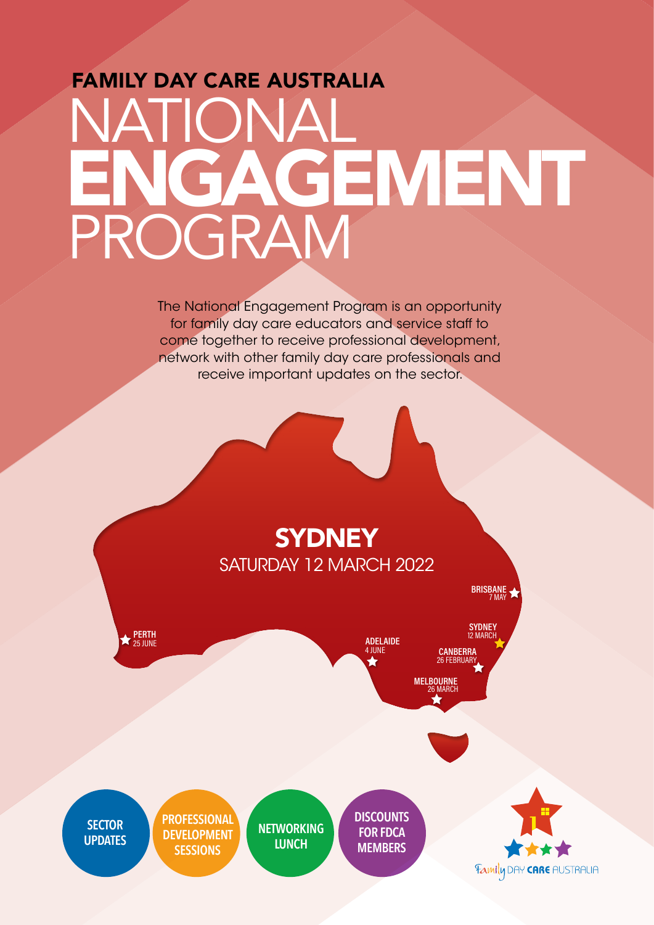## FAMILY DAY CARE AUSTRALIA NATIONAL PROGRAM ENGAGEMENT

The National Engagement Program is an opportunity for family day care educators and service staff to come together to receive professional development, network with other family day care professionals and receive important updates on the sector.

## **SYDNEY** SATURDAY 12 MARCH 2022